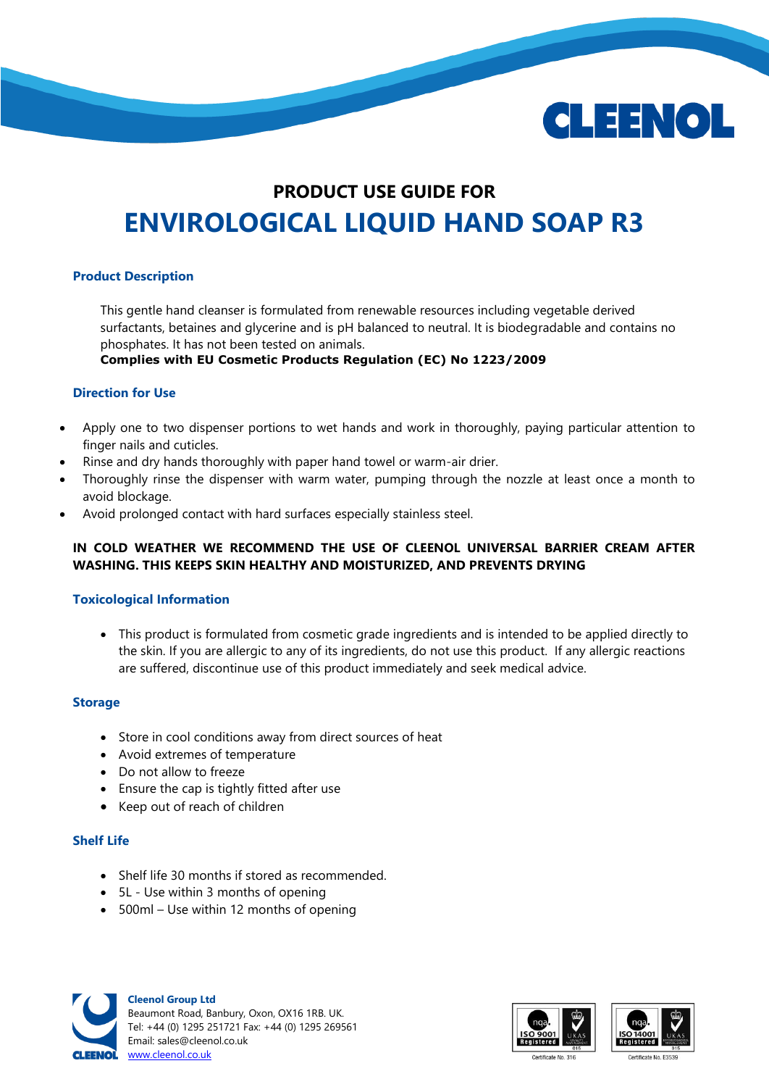

# **PRODUCT USE GUIDE FOR ENVIROLOGICAL LIQUID HAND SOAP R3**

## **Product Description**

This gentle hand cleanser is formulated from renewable resources including vegetable derived surfactants, betaines and glycerine and is pH balanced to neutral. It is biodegradable and contains no phosphates. It has not been tested on animals.

**Complies with EU Cosmetic Products Regulation (EC) No 1223/2009**

## **Direction for Use**

- Apply one to two dispenser portions to wet hands and work in thoroughly, paying particular attention to finger nails and cuticles.
- Rinse and dry hands thoroughly with paper hand towel or warm-air drier.
- Thoroughly rinse the dispenser with warm water, pumping through the nozzle at least once a month to avoid blockage.
- Avoid prolonged contact with hard surfaces especially stainless steel.

## **IN COLD WEATHER WE RECOMMEND THE USE OF CLEENOL UNIVERSAL BARRIER CREAM AFTER WASHING. THIS KEEPS SKIN HEALTHY AND MOISTURIZED, AND PREVENTS DRYING**

## **Toxicological Information**

 This product is formulated from cosmetic grade ingredients and is intended to be applied directly to the skin. If you are allergic to any of its ingredients, do not use this product. If any allergic reactions are suffered, discontinue use of this product immediately and seek medical advice.

## **Storage**

- Store in cool conditions away from direct sources of heat
- Avoid extremes of temperature
- Do not allow to freeze
- Ensure the cap is tightly fitted after use
- Keep out of reach of children

#### **Shelf Life**

- Shelf life 30 months if stored as recommended.
- 5L Use within 3 months of opening
- 500ml Use within 12 months of opening